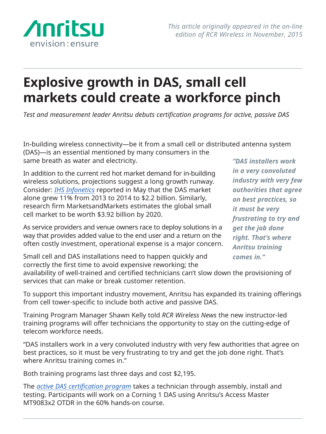

## **Explosive growth in DAS, small cell markets could create a workforce pinch**

*Test and measurement leader Anritsu debuts certification programs for active, passive DAS*

In-building wireless connectivity—be it from a small cell or distributed antenna system

(DAS)—is an essential mentioned by many consumers in the same breath as water and electricity.

In addition to the current red hot market demand for in-building wireless solutions, projections suggest a long growth runway. Consider: *[IHS Infonetics](http://http://www.infonetics.com/pr/2015/2H14-DAS-Equipment-Market-Highlights.asp)* reported in May that the DAS market alone grew 11% from 2013 to 2014 to \$2.2 billion. Similarly, research firm MarketsandMarkets estimates the global small cell market to be worth \$3.92 billion by 2020.

As service providers and venue owners race to deploy solutions in a way that provides added value to the end user and a return on the often costly investment, operational expense is a major concern.

*"DAS installers work in a very convoluted industry with very few authorities that agree on best practices, so it must be very frustrating to try and get the job done right. That's where Anritsu training comes in."*

Small cell and DAS installations need to happen quickly and correctly the first time to avoid expensive reworking; the

availability of well-trained and certified technicians can't slow down the provisioning of services that can make or break customer retention.

To support this important industry movement, Anritsu has expanded its training offerings from cell tower-specific to include both active and passive DAS.

Training Program Manager Shawn Kelly told *RCR Wireless News* the new instructor-led training programs will offer technicians the opportunity to stay on the cutting-edge of telecom workforce needs.

"DAS installers work in a very convoluted industry with very few authorities that agree on best practices, so it must be very frustrating to try and get the job done right. That's where Anritsu training comes in."

Both training programs last three days and cost \$2,195.

The *[active DAS certification program](http://http://www.anritsu.com/en-US/test-measurement/support/training-and-education/instructor-led/active-das-certification)* takes a technician through assembly, install and testing. Participants will work on a Corning 1 DAS using Anritsu's Access Master MT9083x2 OTDR in the 60% hands-on course.